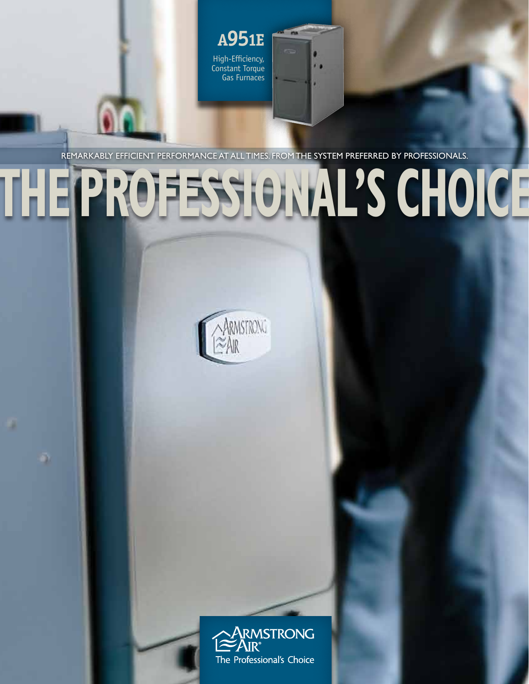High-Efficiency, Constant Torque Gas Furnaces **A951E**

Remarkably efficient performance at all times. From the system preferred by professionals.

na

# **THE PROFESSIONAL'S CHOICE**



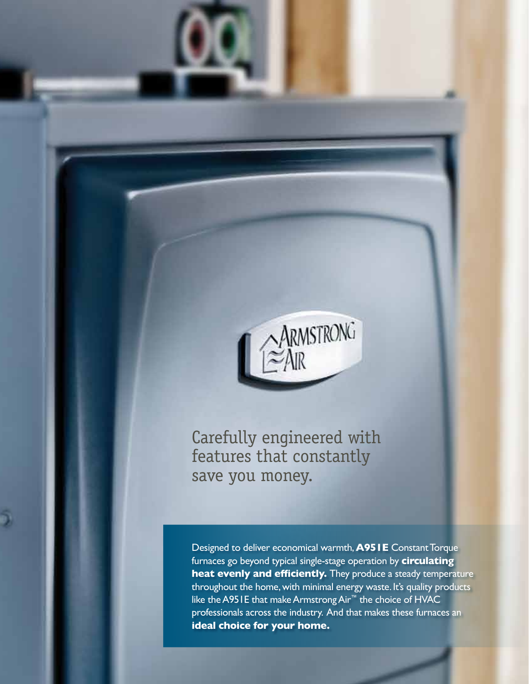

Carefully engineered with features that constantly save you money.

Designed to deliver economical warmth, **A951E** Constant Torque furnaces go beyond typical single-stage operation by **circulating heat evenly and efficiently.** They produce a steady temperature throughout the home, with minimal energy waste. It's quality products like the A951E that make Armstrong Air™ the choice of HVAC professionals across the industry. And that makes these furnaces an **ideal choice for your home.**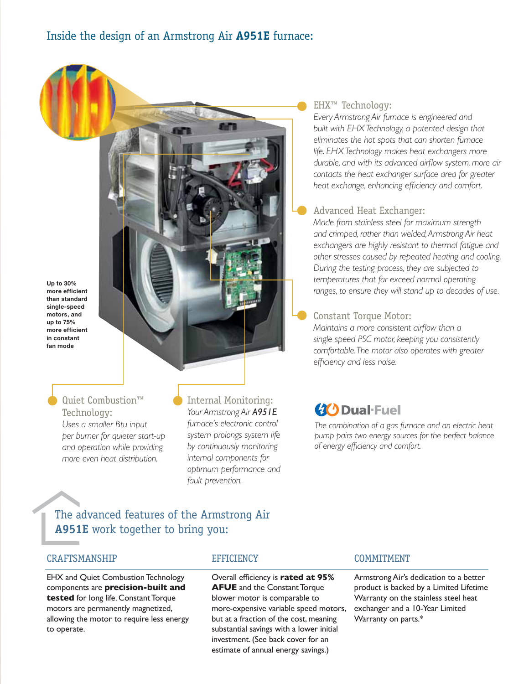Up to 30% more efficient than standard single-speed motors, and up to 75% more efficient in constant fan mode

> Quiet Combustion™ Technology: *Uses a smaller Btu input per burner for quieter start-up and operation while providing more even heat distribution.*

Internal Monitoring: *Your Armstrong Air A951E furnace's electronic control system prolongs system life by continuously monitoring internal components for optimum performance and fault prevention.*

# The advanced features of the Armstrong Air **A951E** work together to bring you:

# CRAFTSMANSHIP

EHX and Quiet Combustion Technology components are **precision-built and tested** for long life. Constant Torque motors are permanently magnetized, allowing the motor to require less energy to operate.

# **EFFICIENCY**

Overall efficiency is **rated at 95% AFUE** and the Constant Torque blower motor is comparable to more-expensive variable speed motors, but at a fraction of the cost, meaning substantial savings with a lower initial investment. (See back cover for an estimate of annual energy savings.)

# EHX™ Technology:

*Every Armstrong Air furnace is engineered and built with EHX Technology, a patented design that eliminates the hot spots that can shorten furnace life. EHX Technology makes heat exchangers more durable, and with its advanced airflow system, more air contacts the heat exchanger surface area for greater heat exchange, enhancing efficiency and comfort.*

# Advanced Heat Exchanger:

*Made from stainless steel for maximum strength and crimped, rather than welded, Armstrong Air heat exchangers are highly resistant to thermal fatigue and other stresses caused by repeated heating and cooling. During the testing process, they are subjected to temperatures that far exceed normal operating ranges, to ensure they will stand up to decades of use.*

# Constant Torque Motor:

*Maintains a more consistent airflow than a single-speed PSC motor, keeping you consistently comfortable. The motor also operates with greater efficiency and less noise.*

# **40 Dual-Fuel**

*The combination of a gas furnace and an electric heat pump pairs two energy sources for the perfect balance of energy efficiency and comfort.*

# COMMITMENT

Armstrong Air's dedication to a better product is backed by a Limited Lifetime Warranty on the stainless steel heat exchanger and a 10-Year Limited Warranty on parts.\*